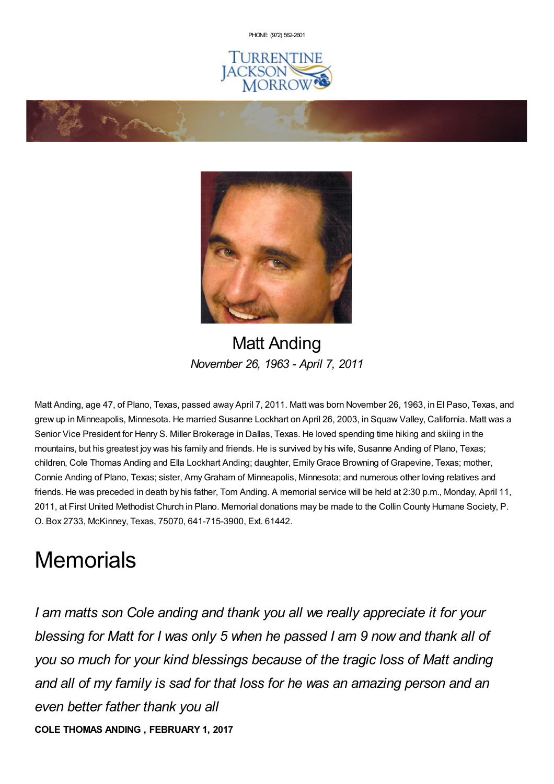PHONE: (972) [562-2601](tel:(972) 562-2601)







Matt Anding *November 26, 1963 - April 7, 2011*

Matt Anding, age 47, of Plano, Texas, passed away April 7, 2011. Matt was born November 26, 1963, in El Paso, Texas, and grew up in Minneapolis, Minnesota. He married Susanne Lockhart on April 26, 2003, in Squaw Valley, California. Matt was a Senior Vice President for Henry S. Miller Brokerage in Dallas, Texas. He loved spending time hiking and skiing in the mountains, but his greatest joy was his family and friends. He is survived by his wife, Susanne Anding of Plano, Texas; children, Cole Thomas Anding and Ella Lockhart Anding; daughter, EmilyGrace Browning of Grapevine, Texas; mother, Connie Anding of Plano, Texas; sister, AmyGraham of Minneapolis, Minnesota; and numerous other loving relatives and friends. He was preceded in death by his father, Tom Anding. A memorial service will be held at 2:30 p.m., Monday, April 11, 2011, at First United Methodist Church in Plano. Memorial donations may be made to the Collin County Humane Society, P. O. Box 2733, McKinney, Texas, 75070, 641-715-3900, Ext. 61442.

# **Memorials**

*I am matts son Cole anding and thank you all we really appreciate it for your blessing for Matt for I was only 5 when he passed I am 9 now and thank all of you so much for your kind blessings because of the tragic loss of Matt anding and all of my family is sad for that loss for he was an amazing person and an even better father thank you all* **COLE THOMAS ANDING , FEBRUARY 1, 2017**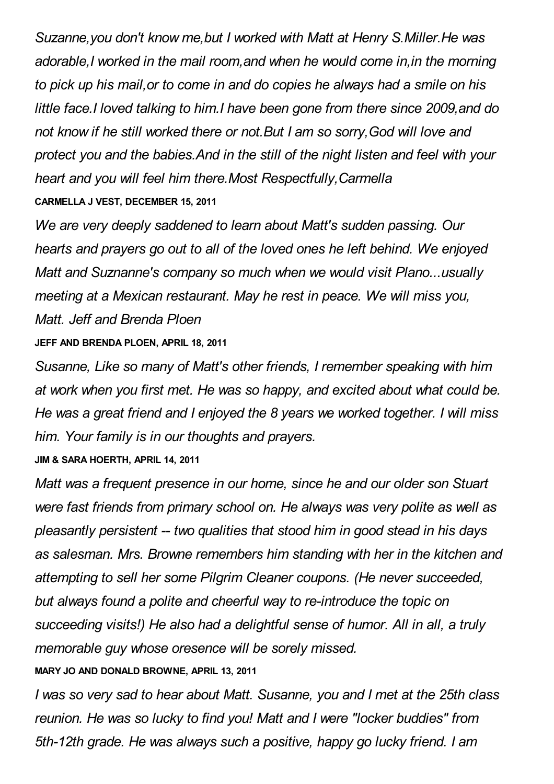*Suzanne,you don't know me,but I worked with Matt at Henry S.Miller.He was adorable,I worked in the mail room,and when he would come in,in the morning to pick up his mail,or to come in and do copies he always had a smile on his little face.I loved talking to him.I have been gone from there since 2009,and do not know if he still worked there or not.But I am so sorry,God will love and protect you and the babies.And in the still of the night listen and feel with your heart and you will feel him there.Most Respectfully,Carmella* **CARMELLA J VEST, DECEMBER 15, 2011**

*We are very deeply saddened to learn about Matt's sudden passing. Our hearts and prayers go out to all of the loved ones he left behind. We enjoyed Matt and Suznanne's company so much when we would visit Plano...usually meeting at a Mexican restaurant. May he rest in peace. We will miss you, Matt. Jeff and Brenda Ploen*

#### **JEFF AND BRENDA PLOEN, APRIL 18, 2011**

*Susanne, Like so many of Matt's other friends, I remember speaking with him at work when you first met. He was so happy, and excited about what could be. He was a great friend and I enjoyed the 8 years we worked together. I will miss him. Your family is in our thoughts and prayers.*

#### **JIM & SARA HOERTH, APRIL 14, 2011**

*Matt was a frequent presence in our home, since he and our older son Stuart were fast friends from primary school on. He always was very polite as well as pleasantly persistent -- two qualities that stood him in good stead in his days as salesman. Mrs. Browne remembers him standing with her in the kitchen and attempting to sell her some Pilgrim Cleaner coupons. (He never succeeded, but always found a polite and cheerful way to re-introduce the topic on succeeding visits!) He also had a delightful sense of humor. All in all, a truly memorable guy whose oresence will be sorely missed.*

### **MARY JO AND DONALD BROWNE, APRIL 13, 2011**

*I was so very sad to hear about Matt. Susanne, you and I met at the 25th class reunion. He was so lucky to find you! Matt and I were "locker buddies" from 5th-12th grade. He was always such a positive, happy go lucky friend. I am*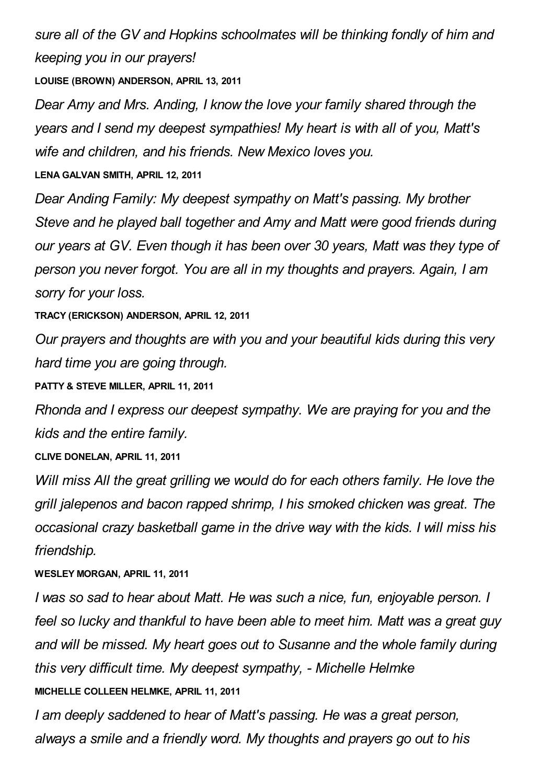*sure all of the GV and Hopkins schoolmates will be thinking fondly of him and keeping you in our prayers!*

**LOUISE (BROWN) ANDERSON, APRIL 13, 2011**

*Dear Amy and Mrs. Anding, I know the love your family shared through the years and I send my deepest sympathies! My heart is with all of you, Matt's wife and children, and his friends. New Mexico loves you.*

**LENA GALVAN SMITH, APRIL 12, 2011**

*Dear Anding Family: My deepest sympathy on Matt's passing. My brother Steve and he played ball together and Amy and Matt were good friends during our years at GV. Even though it has been over 30 years, Matt was they type of person you never forgot. You are all in my thoughts and prayers. Again, I am sorry for your loss.*

**TRACY (ERICKSON) ANDERSON, APRIL 12, 2011**

*Our prayers and thoughts are with you and your beautiful kids during this very hard time you are going through.*

**PATTY & STEVE MILLER, APRIL 11, 2011**

*Rhonda and I express our deepest sympathy. We are praying for you and the kids and the entire family.*

**CLIVE DONELAN, APRIL 11, 2011**

*Will miss All the great grilling we would do for each others family. He love the grill jalepenos and bacon rapped shrimp, I his smoked chicken was great. The occasional crazy basketball game in the drive way with the kids. I will miss his friendship.*

#### **WESLEY MORGAN, APRIL 11, 2011**

*I was so sad to hear about Matt. He was such a nice, fun, enjoyable person. I feel so lucky and thankful to have been able to meet him. Matt was a great guy and will be missed. My heart goes out to Susanne and the whole family during this very difficult time. My deepest sympathy, - Michelle Helmke* **MICHELLE COLLEEN HELMKE, APRIL 11, 2011**

*I am deeply saddened to hear of Matt's passing. He was a great person, always a smile and a friendly word. My thoughts and prayers go out to his*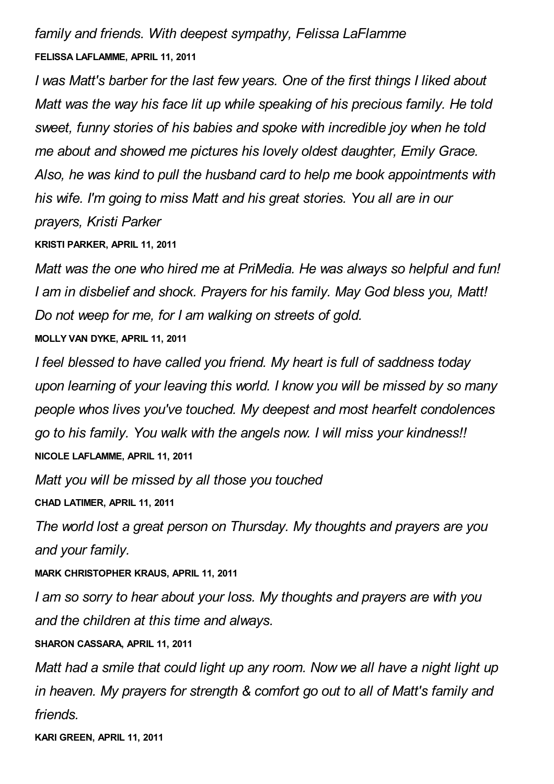*family and friends. With deepest sympathy, Felissa LaFlamme* **FELISSA LAFLAMME, APRIL 11, 2011**

*I was Matt's barber for the last few years. One of the first things I liked about Matt was the way his face lit up while speaking of his precious family. He told sweet, funny stories of his babies and spoke with incredible joy when he told me about and showed me pictures his lovely oldest daughter, Emily Grace. Also, he was kind to pull the husband card to help me book appointments with his wife. I'm going to miss Matt and his great stories. You all are in our prayers, Kristi Parker*

**KRISTI PARKER, APRIL 11, 2011**

*Matt was the one who hired me at PriMedia. He was always so helpful and fun! I am in disbelief and shock. Prayers for his family. May God bless you, Matt! Do not weep for me, for I am walking on streets of gold.* **MOLLY VAN DYKE, APRIL 11, 2011**

*I feel blessed to have called you friend. My heart is full of saddness today upon learning of your leaving this world. I know you will be missed by so many people whos lives you've touched. My deepest and most hearfelt condolences go to his family. You walk with the angels now. I will miss your kindness!!* **NICOLE LAFLAMME, APRIL 11, 2011**

*Matt you will be missed by all those you touched*

**CHAD LATIMER, APRIL 11, 2011**

*The world lost a great person on Thursday. My thoughts and prayers are you and your family.*

**MARK CHRISTOPHER KRAUS, APRIL 11, 2011**

*I am so sorry to hear about your loss. My thoughts and prayers are with you and the children at this time and always.*

**SHARON CASSARA, APRIL 11, 2011**

*Matt had a smile that could light up any room. Now we all have a night light up in heaven. My prayers for strength & comfort go out to all of Matt's family and friends.*

**KARI GREEN, APRIL 11, 2011**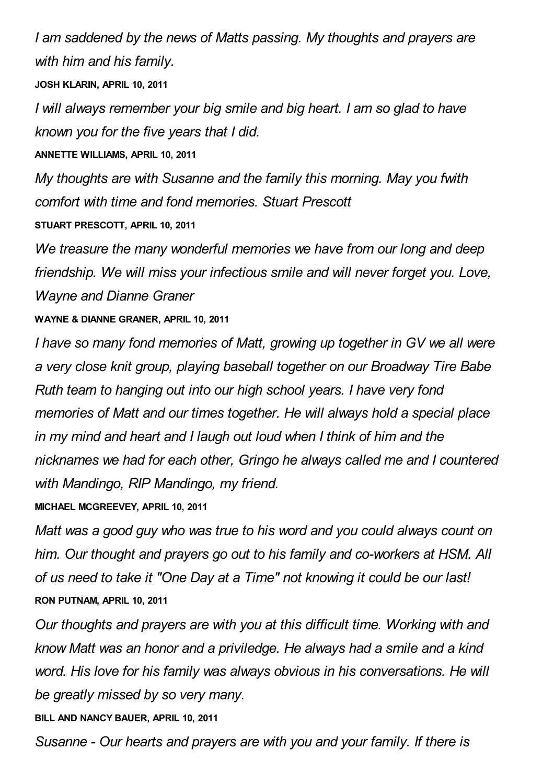*I am saddened by the news of Matts passing. My thoughts and prayers are with him and his family.*

**JOSH KLARIN, APRIL 10, 2011**

*I will always remember your big smile and big heart. I am so glad to have known you for the five years that I did.*

**ANNETTE WILLIAMS, APRIL 10, 2011**

*My thoughts are with Susanne and the family this morning. May you fwith comfort with time and fond memories. Stuart Prescott*

**STUART PRESCOTT, APRIL 10, 2011**

*We treasure the many wonderful memories we have from our long and deep friendship. We will miss your infectious smile and will never forget you. Love, Wayne and Dianne Graner*

## **WAYNE & DIANNE GRANER, APRIL 10, 2011**

*I have so many fond memories of Matt, growing up together in GV we all were a very close knit group, playing baseball together on our Broadway Tire Babe Ruth team to hanging out into our high school years. I have very fond memories of Matt and our times together. He will always hold a special place in my mind and heart and I laugh out loud when I think of him and the nicknames we had for each other, Gringo he always called me and I countered with Mandingo, RIP Mandingo, my friend.*

**MICHAEL MCGREEVEY, APRIL 10, 2011**

*Matt was a good guy who was true to his word and you could always count on him. Our thought and prayers go out to his family and co-workers at HSM. All of us need to take it "One Day at a Time" not knowing it could be our last!* **RON PUTNAM, APRIL 10, 2011**

*Our thoughts and prayers are with you at this difficult time. Working with and know Matt was an honor and a priviledge. He always had a smile and a kind word. His love for his family was always obvious in his conversations. He will be greatly missed by so very many.*

**BILL AND NANCY BAUER, APRIL 10, 2011**

*Susanne - Our hearts and prayers are with you and your family. If there is*